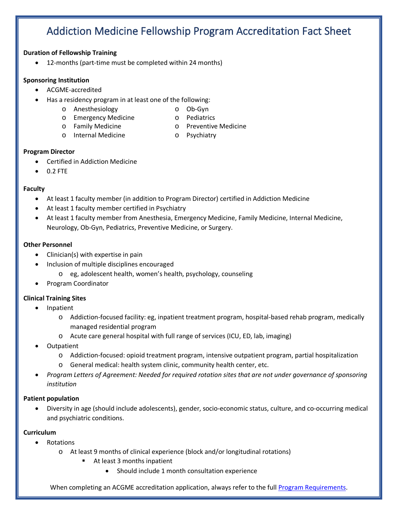# Addiction Medicine Fellowship Program Accreditation Fact Sheet

#### **Duration of Fellowship Training**

• 12-months (part-time must be completed within 24 months)

#### **Sponsoring Institution**

- ACGME-accredited
- Has a residency program in at least one of the following:
	- o Anesthesiology
- o Ob-Gyn
- o Emergency Medicine
- o Pediatrics
- o Family Medicine
- o Preventive Medicine
- o Internal Medicine
- o Psychiatry

#### **Program Director**

- Certified in Addiction Medicine
- 0.2 FTE

# **Faculty**

- At least 1 faculty member (in addition to Program Director) certified in Addiction Medicine
- At least 1 faculty member certified in Psychiatry
- At least 1 faculty member from Anesthesia, Emergency Medicine, Family Medicine, Internal Medicine, Neurology, Ob-Gyn, Pediatrics, Preventive Medicine, or Surgery.

# **Other Personnel**

- Clinician(s) with expertise in pain
- Inclusion of multiple disciplines encouraged
	- o eg, adolescent health, women's health, psychology, counseling
- Program Coordinator

# **Clinical Training Sites**

- Inpatient
	- o Addiction-focused facility: eg, inpatient treatment program, hospital-based rehab program, medically managed residential program
	- o Acute care general hospital with full range of services (ICU, ED, lab, imaging)
- Outpatient
	- o Addiction-focused: opioid treatment program, intensive outpatient program, partial hospitalization
	- o General medical: health system clinic, community health center, etc.
- *Program Letters of Agreement: Needed for required rotation sites that are not under governance of sponsoring institution*

# **Patient population**

• Diversity in age (should include adolescents), gender, socio-economic status, culture, and co-occurring medical and psychiatric conditions.

# **Curriculum**

- Rotations
	- o At least 9 months of clinical experience (block and/or longitudinal rotations)
		- At least 3 months inpatient
			- Should include 1 month consultation experience

When completing an ACGME accreditation application, always refer to the full [Program Requirements.](https://www.acgme.org/Portals/0/PFAssets/ProgramRequirements/404_AddictionMedicine_2021.pdf?ver=2021-06-22-114501-473)